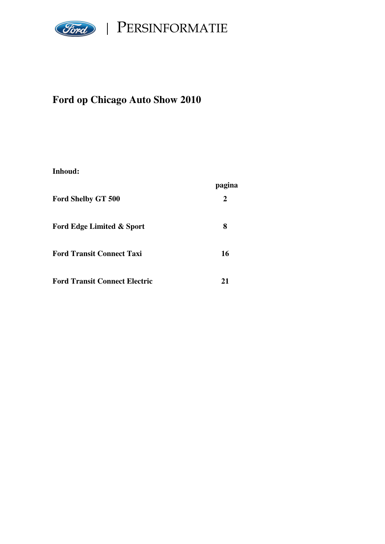

# **Ford op Chicago Auto Show 2010**

**Inhoud:** 

|                                      | pagina |
|--------------------------------------|--------|
| <b>Ford Shelby GT 500</b>            | 2      |
| <b>Ford Edge Limited &amp; Sport</b> | 8      |
| <b>Ford Transit Connect Taxi</b>     | 16     |
| <b>Ford Transit Connect Electric</b> | 21     |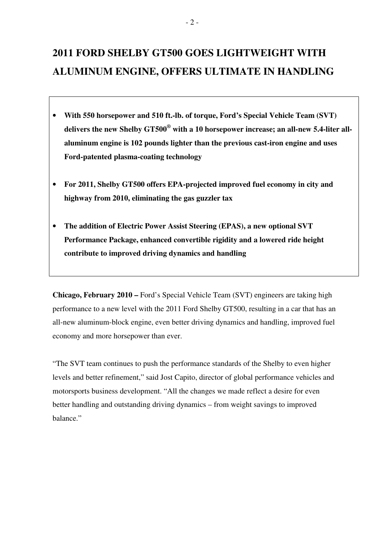# **2011 FORD SHELBY GT500 GOES LIGHTWEIGHT WITH ALUMINUM ENGINE, OFFERS ULTIMATE IN HANDLING**

- **With 550 horsepower and 510 ft.-lb. of torque, Ford's Special Vehicle Team (SVT) delivers the new Shelby GT500® with a 10 horsepower increase; an all-new 5.4-liter allaluminum engine is 102 pounds lighter than the previous cast-iron engine and uses Ford-patented plasma-coating technology**
- **For 2011, Shelby GT500 offers EPA-projected improved fuel economy in city and highway from 2010, eliminating the gas guzzler tax**
- **The addition of Electric Power Assist Steering (EPAS), a new optional SVT Performance Package, enhanced convertible rigidity and a lowered ride height contribute to improved driving dynamics and handling**

**Chicago, February 2010 –** Ford's Special Vehicle Team (SVT) engineers are taking high performance to a new level with the 2011 Ford Shelby GT500, resulting in a car that has an all-new aluminum-block engine, even better driving dynamics and handling, improved fuel economy and more horsepower than ever.

"The SVT team continues to push the performance standards of the Shelby to even higher levels and better refinement," said Jost Capito, director of global performance vehicles and motorsports business development. "All the changes we made reflect a desire for even better handling and outstanding driving dynamics – from weight savings to improved balance."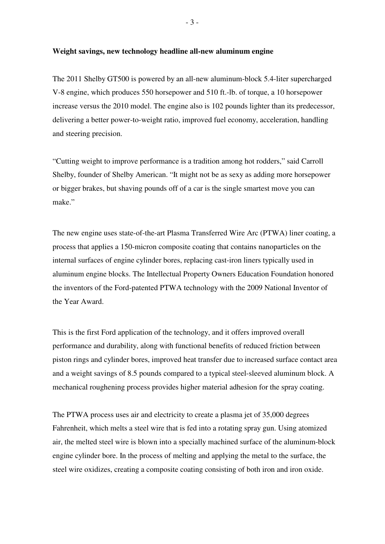#### **Weight savings, new technology headline all-new aluminum engine**

The 2011 Shelby GT500 is powered by an all-new aluminum-block 5.4-liter supercharged V-8 engine, which produces 550 horsepower and 510 ft.-lb. of torque, a 10 horsepower increase versus the 2010 model. The engine also is 102 pounds lighter than its predecessor, delivering a better power-to-weight ratio, improved fuel economy, acceleration, handling and steering precision.

"Cutting weight to improve performance is a tradition among hot rodders," said Carroll Shelby, founder of Shelby American. "It might not be as sexy as adding more horsepower or bigger brakes, but shaving pounds off of a car is the single smartest move you can make."

The new engine uses state-of-the-art Plasma Transferred Wire Arc (PTWA) liner coating, a process that applies a 150-micron composite coating that contains nanoparticles on the internal surfaces of engine cylinder bores, replacing cast-iron liners typically used in aluminum engine blocks. The Intellectual Property Owners Education Foundation honored the inventors of the Ford-patented PTWA technology with the 2009 National Inventor of the Year Award.

This is the first Ford application of the technology, and it offers improved overall performance and durability, along with functional benefits of reduced friction between piston rings and cylinder bores, improved heat transfer due to increased surface contact area and a weight savings of 8.5 pounds compared to a typical steel-sleeved aluminum block. A mechanical roughening process provides higher material adhesion for the spray coating.

The PTWA process uses air and electricity to create a plasma jet of 35,000 degrees Fahrenheit, which melts a steel wire that is fed into a rotating spray gun. Using atomized air, the melted steel wire is blown into a specially machined surface of the aluminum-block engine cylinder bore. In the process of melting and applying the metal to the surface, the steel wire oxidizes, creating a composite coating consisting of both iron and iron oxide.

- 3 -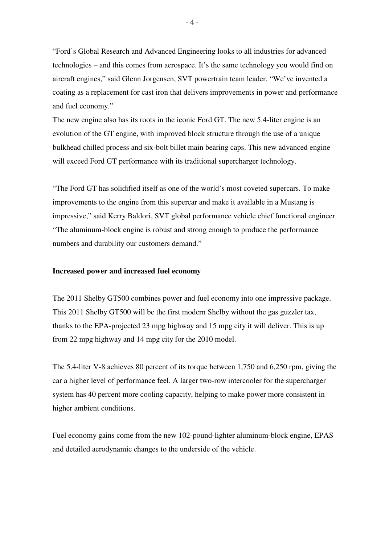"Ford's Global Research and Advanced Engineering looks to all industries for advanced technologies – and this comes from aerospace. It's the same technology you would find on aircraft engines," said Glenn Jorgensen, SVT powertrain team leader. "We've invented a coating as a replacement for cast iron that delivers improvements in power and performance and fuel economy."

The new engine also has its roots in the iconic Ford GT. The new 5.4-liter engine is an evolution of the GT engine, with improved block structure through the use of a unique bulkhead chilled process and six-bolt billet main bearing caps. This new advanced engine will exceed Ford GT performance with its traditional supercharger technology.

"The Ford GT has solidified itself as one of the world's most coveted supercars. To make improvements to the engine from this supercar and make it available in a Mustang is impressive," said Kerry Baldori, SVT global performance vehicle chief functional engineer. "The aluminum-block engine is robust and strong enough to produce the performance numbers and durability our customers demand."

#### **Increased power and increased fuel economy**

The 2011 Shelby GT500 combines power and fuel economy into one impressive package. This 2011 Shelby GT500 will be the first modern Shelby without the gas guzzler tax, thanks to the EPA-projected 23 mpg highway and 15 mpg city it will deliver. This is up from 22 mpg highway and 14 mpg city for the 2010 model.

The 5.4-liter V-8 achieves 80 percent of its torque between 1,750 and 6,250 rpm, giving the car a higher level of performance feel. A larger two-row intercooler for the supercharger system has 40 percent more cooling capacity, helping to make power more consistent in higher ambient conditions.

Fuel economy gains come from the new 102-pound-lighter aluminum-block engine, EPAS and detailed aerodynamic changes to the underside of the vehicle.

 $-4-$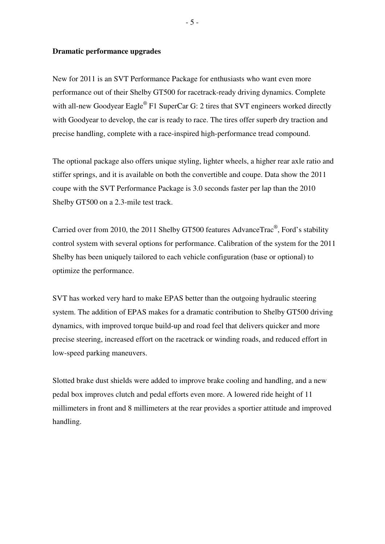#### **Dramatic performance upgrades**

New for 2011 is an SVT Performance Package for enthusiasts who want even more performance out of their Shelby GT500 for racetrack-ready driving dynamics. Complete with all-new Goodyear Eagle® F1 SuperCar G: 2 tires that SVT engineers worked directly with Goodyear to develop, the car is ready to race. The tires offer superb dry traction and precise handling, complete with a race-inspired high-performance tread compound.

The optional package also offers unique styling, lighter wheels, a higher rear axle ratio and stiffer springs, and it is available on both the convertible and coupe. Data show the 2011 coupe with the SVT Performance Package is 3.0 seconds faster per lap than the 2010 Shelby GT500 on a 2.3-mile test track.

Carried over from 2010, the 2011 Shelby GT500 features AdvanceTrac<sup>®</sup>, Ford's stability control system with several options for performance. Calibration of the system for the 2011 Shelby has been uniquely tailored to each vehicle configuration (base or optional) to optimize the performance.

SVT has worked very hard to make EPAS better than the outgoing hydraulic steering system. The addition of EPAS makes for a dramatic contribution to Shelby GT500 driving dynamics, with improved torque build-up and road feel that delivers quicker and more precise steering, increased effort on the racetrack or winding roads, and reduced effort in low-speed parking maneuvers.

Slotted brake dust shields were added to improve brake cooling and handling, and a new pedal box improves clutch and pedal efforts even more. A lowered ride height of 11 millimeters in front and 8 millimeters at the rear provides a sportier attitude and improved handling.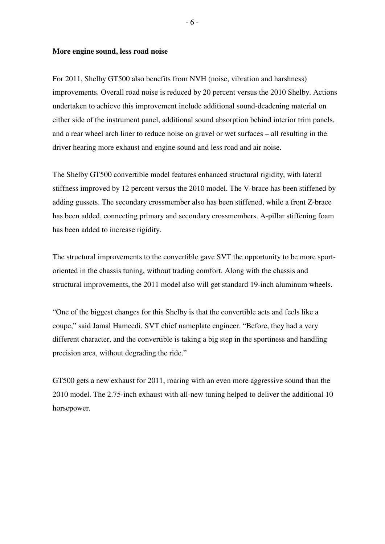#### **More engine sound, less road noise**

For 2011, Shelby GT500 also benefits from NVH (noise, vibration and harshness) improvements. Overall road noise is reduced by 20 percent versus the 2010 Shelby. Actions undertaken to achieve this improvement include additional sound-deadening material on either side of the instrument panel, additional sound absorption behind interior trim panels, and a rear wheel arch liner to reduce noise on gravel or wet surfaces – all resulting in the driver hearing more exhaust and engine sound and less road and air noise.

The Shelby GT500 convertible model features enhanced structural rigidity, with lateral stiffness improved by 12 percent versus the 2010 model. The V-brace has been stiffened by adding gussets. The secondary crossmember also has been stiffened, while a front Z-brace has been added, connecting primary and secondary crossmembers. A-pillar stiffening foam has been added to increase rigidity.

The structural improvements to the convertible gave SVT the opportunity to be more sportoriented in the chassis tuning, without trading comfort. Along with the chassis and structural improvements, the 2011 model also will get standard 19-inch aluminum wheels.

"One of the biggest changes for this Shelby is that the convertible acts and feels like a coupe," said Jamal Hameedi, SVT chief nameplate engineer. "Before, they had a very different character, and the convertible is taking a big step in the sportiness and handling precision area, without degrading the ride."

GT500 gets a new exhaust for 2011, roaring with an even more aggressive sound than the 2010 model. The 2.75-inch exhaust with all-new tuning helped to deliver the additional 10 horsepower.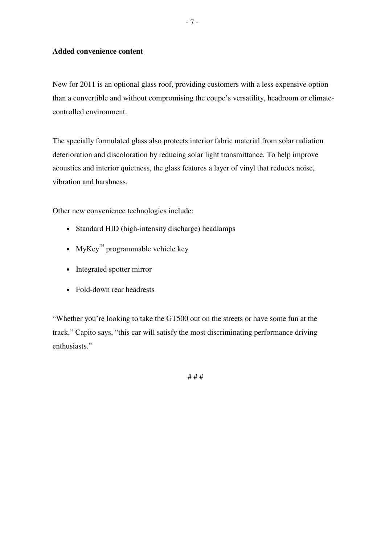## **Added convenience content**

New for 2011 is an optional glass roof, providing customers with a less expensive option than a convertible and without compromising the coupe's versatility, headroom or climatecontrolled environment.

The specially formulated glass also protects interior fabric material from solar radiation deterioration and discoloration by reducing solar light transmittance. To help improve acoustics and interior quietness, the glass features a layer of vinyl that reduces noise, vibration and harshness.

Other new convenience technologies include:

- Standard HID (high-intensity discharge) headlamps
- MyKey<sup>™</sup> programmable vehicle key
- Integrated spotter mirror
- Fold-down rear headrests

"Whether you're looking to take the GT500 out on the streets or have some fun at the track," Capito says, "this car will satisfy the most discriminating performance driving enthusiasts."

# # #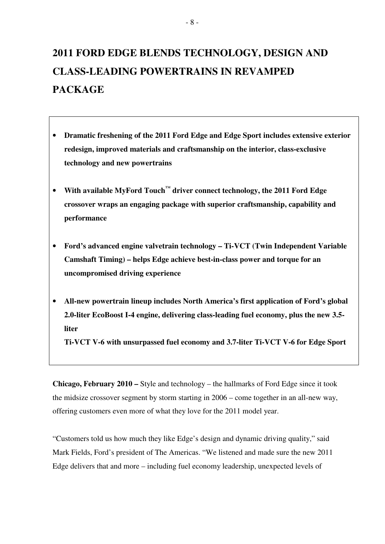# **2011 FORD EDGE BLENDS TECHNOLOGY, DESIGN AND CLASS-LEADING POWERTRAINS IN REVAMPED PACKAGE**

- **Dramatic freshening of the 2011 Ford Edge and Edge Sport includes extensive exterior redesign, improved materials and craftsmanship on the interior, class-exclusive technology and new powertrains**
- **With available MyFord Touch™ driver connect technology, the 2011 Ford Edge crossover wraps an engaging package with superior craftsmanship, capability and performance**
- **Ford's advanced engine valvetrain technology Ti-VCT (Twin Independent Variable Camshaft Timing) – helps Edge achieve best-in-class power and torque for an uncompromised driving experience**
- **All-new powertrain lineup includes North America's first application of Ford's global 2.0-liter EcoBoost I-4 engine, delivering class-leading fuel economy, plus the new 3.5 liter**

**Ti-VCT V-6 with unsurpassed fuel economy and 3.7-liter Ti-VCT V-6 for Edge Sport** 

**Chicago, February 2010 –** Style and technology – the hallmarks of Ford Edge since it took the midsize crossover segment by storm starting in 2006 – come together in an all-new way, offering customers even more of what they love for the 2011 model year.

"Customers told us how much they like Edge's design and dynamic driving quality," said Mark Fields, Ford's president of The Americas. "We listened and made sure the new 2011 Edge delivers that and more – including fuel economy leadership, unexpected levels of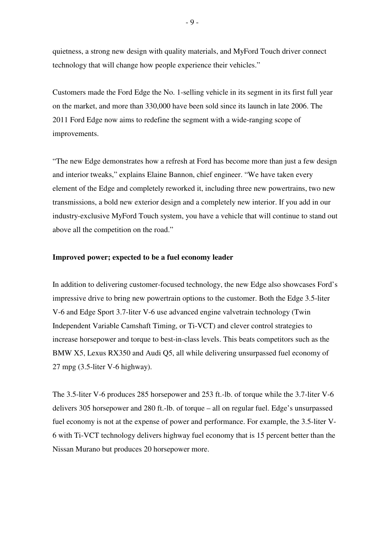quietness, a strong new design with quality materials, and MyFord Touch driver connect technology that will change how people experience their vehicles."

Customers made the Ford Edge the No. 1-selling vehicle in its segment in its first full year on the market, and more than 330,000 have been sold since its launch in late 2006. The 2011 Ford Edge now aims to redefine the segment with a wide-ranging scope of improvements.

"The new Edge demonstrates how a refresh at Ford has become more than just a few design and interior tweaks," explains Elaine Bannon, chief engineer. "We have taken every element of the Edge and completely reworked it, including three new powertrains, two new transmissions, a bold new exterior design and a completely new interior. If you add in our industry-exclusive MyFord Touch system, you have a vehicle that will continue to stand out above all the competition on the road."

#### **Improved power; expected to be a fuel economy leader**

In addition to delivering customer-focused technology, the new Edge also showcases Ford's impressive drive to bring new powertrain options to the customer. Both the Edge 3.5-liter V-6 and Edge Sport 3.7-liter V-6 use advanced engine valvetrain technology (Twin Independent Variable Camshaft Timing, or Ti-VCT) and clever control strategies to increase horsepower and torque to best-in-class levels. This beats competitors such as the BMW X5, Lexus RX350 and Audi Q5, all while delivering unsurpassed fuel economy of 27 mpg (3.5-liter V-6 highway).

The 3.5-liter V-6 produces 285 horsepower and 253 ft.-lb. of torque while the 3.7-liter V-6 delivers 305 horsepower and 280 ft.-lb. of torque – all on regular fuel. Edge's unsurpassed fuel economy is not at the expense of power and performance. For example, the 3.5-liter V-6 with Ti-VCT technology delivers highway fuel economy that is 15 percent better than the Nissan Murano but produces 20 horsepower more.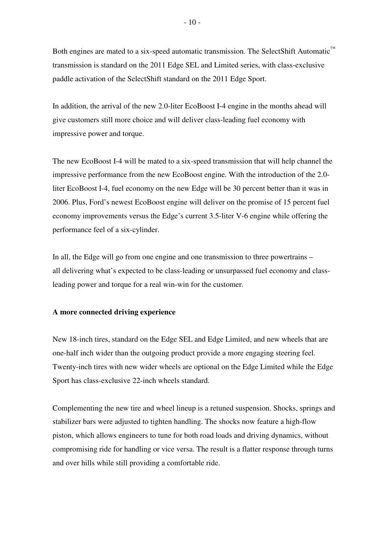Both engines are mated to a six-speed automatic transmission. The SelectShift Automatic<sup>™</sup> transmission is standard on the 2011 Edge SEL and Limited series, with class-exclusive paddle activation of the SelectShift standard on the 2011 Edge Sport.

In addition, the arrival of the new 2.0-liter EcoBoost I-4 engine in the months ahead will give customers still more choice and will deliver class-leading fuel economy with impressive power and torque.

The new EcoBoost I-4 will be mated to a six-speed transmission that will help channel the impressive performance from the new EcoBoost engine. With the introduction of the 2.0 liter EcoBoost I-4, fuel economy on the new Edge will be 30 percent better than it was in 2006. Plus, Ford's newest EcoBoost engine will deliver on the promise of 15 percent fuel economy improvements versus the Edge's current 3.5-liter V-6 engine while offering the performance feel of a six-cylinder.

In all, the Edge will go from one engine and one transmission to three powertrains – all delivering what's expected to be class-leading or unsurpassed fuel economy and classleading power and torque for a real win-win for the customer.

#### **A more connected driving experience**

New 18-inch tires, standard on the Edge SEL and Edge Limited, and new wheels that are one-half inch wider than the outgoing product provide a more engaging steering feel. Twenty-inch tires with new wider wheels are optional on the Edge Limited while the Edge Sport has class-exclusive 22-inch wheels standard.

Complementing the new tire and wheel lineup is a retuned suspension. Shocks, springs and stabilizer bars were adjusted to tighten handling. The shocks now feature a high-flow piston, which allows engineers to tune for both road loads and driving dynamics, without compromising ride for handling or vice versa. The result is a flatter response through turns and over hills while still providing a comfortable ride.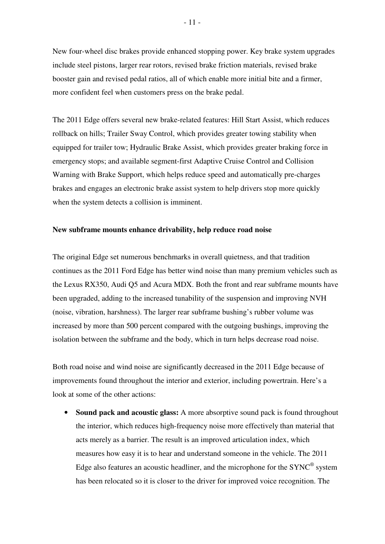New four-wheel disc brakes provide enhanced stopping power. Key brake system upgrades include steel pistons, larger rear rotors, revised brake friction materials, revised brake booster gain and revised pedal ratios, all of which enable more initial bite and a firmer, more confident feel when customers press on the brake pedal.

The 2011 Edge offers several new brake-related features: Hill Start Assist, which reduces rollback on hills; Trailer Sway Control, which provides greater towing stability when equipped for trailer tow; Hydraulic Brake Assist, which provides greater braking force in emergency stops; and available segment-first Adaptive Cruise Control and Collision Warning with Brake Support, which helps reduce speed and automatically pre-charges brakes and engages an electronic brake assist system to help drivers stop more quickly when the system detects a collision is imminent.

#### **New subframe mounts enhance drivability, help reduce road noise**

The original Edge set numerous benchmarks in overall quietness, and that tradition continues as the 2011 Ford Edge has better wind noise than many premium vehicles such as the Lexus RX350, Audi Q5 and Acura MDX. Both the front and rear subframe mounts have been upgraded, adding to the increased tunability of the suspension and improving NVH (noise, vibration, harshness). The larger rear subframe bushing's rubber volume was increased by more than 500 percent compared with the outgoing bushings, improving the isolation between the subframe and the body, which in turn helps decrease road noise.

Both road noise and wind noise are significantly decreased in the 2011 Edge because of improvements found throughout the interior and exterior, including powertrain. Here's a look at some of the other actions:

• **Sound pack and acoustic glass:** A more absorptive sound pack is found throughout the interior, which reduces high-frequency noise more effectively than material that acts merely as a barrier. The result is an improved articulation index, which measures how easy it is to hear and understand someone in the vehicle. The 2011 Edge also features an acoustic headliner, and the microphone for the  $\text{SYNC}^{\circledast}$  system has been relocated so it is closer to the driver for improved voice recognition. The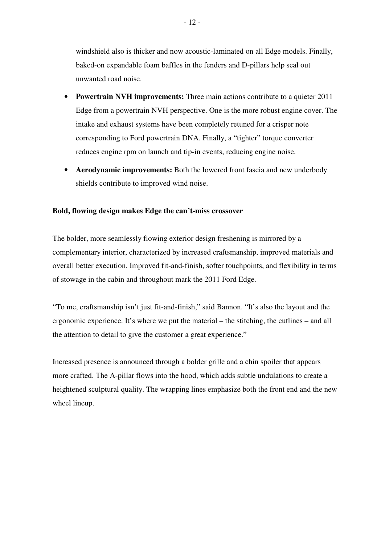windshield also is thicker and now acoustic-laminated on all Edge models. Finally, baked-on expandable foam baffles in the fenders and D-pillars help seal out unwanted road noise.

- **Powertrain NVH improvements:** Three main actions contribute to a quieter 2011 Edge from a powertrain NVH perspective. One is the more robust engine cover. The intake and exhaust systems have been completely retuned for a crisper note corresponding to Ford powertrain DNA. Finally, a "tighter" torque converter reduces engine rpm on launch and tip-in events, reducing engine noise.
- **Aerodynamic improvements:** Both the lowered front fascia and new underbody shields contribute to improved wind noise.

### **Bold, flowing design makes Edge the can't-miss crossover**

The bolder, more seamlessly flowing exterior design freshening is mirrored by a complementary interior, characterized by increased craftsmanship, improved materials and overall better execution. Improved fit-and-finish, softer touchpoints, and flexibility in terms of stowage in the cabin and throughout mark the 2011 Ford Edge.

"To me, craftsmanship isn't just fit-and-finish," said Bannon. "It's also the layout and the ergonomic experience. It's where we put the material – the stitching, the cutlines – and all the attention to detail to give the customer a great experience."

Increased presence is announced through a bolder grille and a chin spoiler that appears more crafted. The A-pillar flows into the hood, which adds subtle undulations to create a heightened sculptural quality. The wrapping lines emphasize both the front end and the new wheel lineup.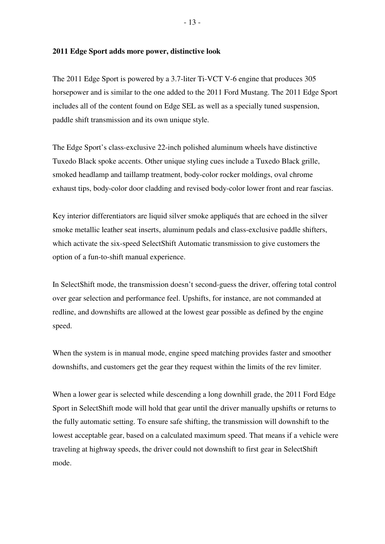#### **2011 Edge Sport adds more power, distinctive look**

The 2011 Edge Sport is powered by a 3.7-liter Ti-VCT V-6 engine that produces 305 horsepower and is similar to the one added to the 2011 Ford Mustang. The 2011 Edge Sport includes all of the content found on Edge SEL as well as a specially tuned suspension, paddle shift transmission and its own unique style.

The Edge Sport's class-exclusive 22-inch polished aluminum wheels have distinctive Tuxedo Black spoke accents. Other unique styling cues include a Tuxedo Black grille, smoked headlamp and taillamp treatment, body-color rocker moldings, oval chrome exhaust tips, body-color door cladding and revised body-color lower front and rear fascias.

Key interior differentiators are liquid silver smoke appliqués that are echoed in the silver smoke metallic leather seat inserts, aluminum pedals and class-exclusive paddle shifters, which activate the six-speed SelectShift Automatic transmission to give customers the option of a fun-to-shift manual experience.

In SelectShift mode, the transmission doesn't second-guess the driver, offering total control over gear selection and performance feel. Upshifts, for instance, are not commanded at redline, and downshifts are allowed at the lowest gear possible as defined by the engine speed.

When the system is in manual mode, engine speed matching provides faster and smoother downshifts, and customers get the gear they request within the limits of the rev limiter.

When a lower gear is selected while descending a long downhill grade, the 2011 Ford Edge Sport in SelectShift mode will hold that gear until the driver manually upshifts or returns to the fully automatic setting. To ensure safe shifting, the transmission will downshift to the lowest acceptable gear, based on a calculated maximum speed. That means if a vehicle were traveling at highway speeds, the driver could not downshift to first gear in SelectShift mode.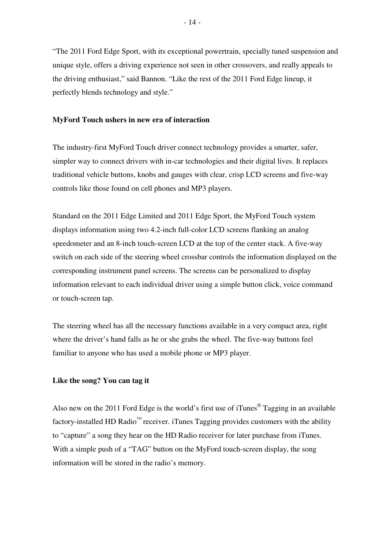"The 2011 Ford Edge Sport, with its exceptional powertrain, specially tuned suspension and unique style, offers a driving experience not seen in other crossovers, and really appeals to the driving enthusiast," said Bannon. "Like the rest of the 2011 Ford Edge lineup, it perfectly blends technology and style."

## **MyFord Touch ushers in new era of interaction**

The industry-first MyFord Touch driver connect technology provides a smarter, safer, simpler way to connect drivers with in-car technologies and their digital lives. It replaces traditional vehicle buttons, knobs and gauges with clear, crisp LCD screens and five-way controls like those found on cell phones and MP3 players.

Standard on the 2011 Edge Limited and 2011 Edge Sport, the MyFord Touch system displays information using two 4.2-inch full-color LCD screens flanking an analog speedometer and an 8-inch touch-screen LCD at the top of the center stack. A five-way switch on each side of the steering wheel crossbar controls the information displayed on the corresponding instrument panel screens. The screens can be personalized to display information relevant to each individual driver using a simple button click, voice command or touch-screen tap.

The steering wheel has all the necessary functions available in a very compact area, right where the driver's hand falls as he or she grabs the wheel. The five-way buttons feel familiar to anyone who has used a mobile phone or MP3 player.

#### **Like the song? You can tag it**

Also new on the 2011 Ford Edge is the world's first use of iTunes<sup>®</sup> Tagging in an available factory-installed HD Radio<sup>™</sup> receiver. iTunes Tagging provides customers with the ability to "capture" a song they hear on the HD Radio receiver for later purchase from iTunes. With a simple push of a "TAG" button on the MyFord touch-screen display, the song information will be stored in the radio's memory.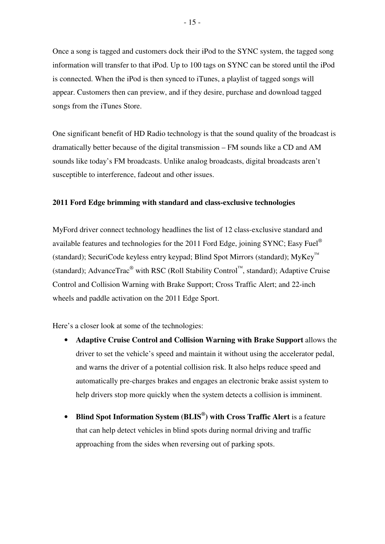Once a song is tagged and customers dock their iPod to the SYNC system, the tagged song information will transfer to that iPod. Up to 100 tags on SYNC can be stored until the iPod is connected. When the iPod is then synced to iTunes, a playlist of tagged songs will appear. Customers then can preview, and if they desire, purchase and download tagged songs from the iTunes Store.

One significant benefit of HD Radio technology is that the sound quality of the broadcast is dramatically better because of the digital transmission – FM sounds like a CD and AM sounds like today's FM broadcasts. Unlike analog broadcasts, digital broadcasts aren't susceptible to interference, fadeout and other issues.

## **2011 Ford Edge brimming with standard and class-exclusive technologies**

MyFord driver connect technology headlines the list of 12 class-exclusive standard and available features and technologies for the 2011 Ford Edge, joining SYNC; Easy Fuel® (standard); SecuriCode keyless entry keypad; Blind Spot Mirrors (standard); MyKey™ (standard); AdvanceTrac<sup>®</sup> with RSC (Roll Stability Control<sup>™</sup>, standard); Adaptive Cruise Control and Collision Warning with Brake Support; Cross Traffic Alert; and 22-inch wheels and paddle activation on the 2011 Edge Sport.

Here's a closer look at some of the technologies:

- **Adaptive Cruise Control and Collision Warning with Brake Support** allows the driver to set the vehicle's speed and maintain it without using the accelerator pedal, and warns the driver of a potential collision risk. It also helps reduce speed and automatically pre-charges brakes and engages an electronic brake assist system to help drivers stop more quickly when the system detects a collision is imminent.
- **Blind Spot Information System (BLIS® ) with Cross Traffic Alert** is a feature that can help detect vehicles in blind spots during normal driving and traffic approaching from the sides when reversing out of parking spots.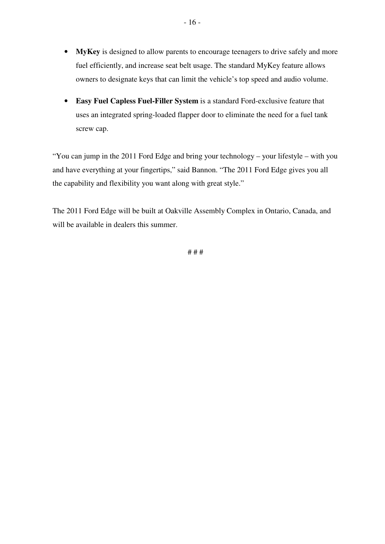- **MyKey** is designed to allow parents to encourage teenagers to drive safely and more fuel efficiently, and increase seat belt usage. The standard MyKey feature allows owners to designate keys that can limit the vehicle's top speed and audio volume.
- **Easy Fuel Capless Fuel-Filler System** is a standard Ford-exclusive feature that uses an integrated spring-loaded flapper door to eliminate the need for a fuel tank screw cap.

"You can jump in the 2011 Ford Edge and bring your technology – your lifestyle – with you and have everything at your fingertips," said Bannon. "The 2011 Ford Edge gives you all the capability and flexibility you want along with great style."

The 2011 Ford Edge will be built at Oakville Assembly Complex in Ontario, Canada, and will be available in dealers this summer.

# # #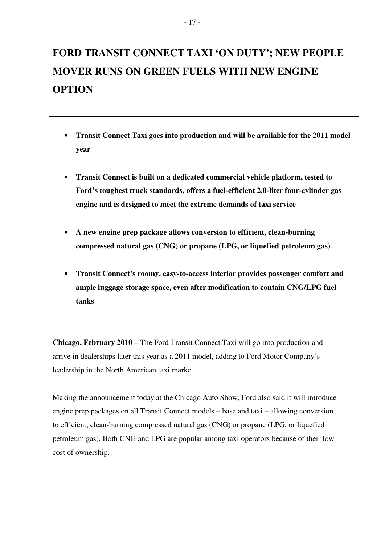# **FORD TRANSIT CONNECT TAXI 'ON DUTY'; NEW PEOPLE MOVER RUNS ON GREEN FUELS WITH NEW ENGINE OPTION**

- **Transit Connect Taxi goes into production and will be available for the 2011 model year**
- **Transit Connect is built on a dedicated commercial vehicle platform, tested to Ford's toughest truck standards, offers a fuel-efficient 2.0-liter four-cylinder gas engine and is designed to meet the extreme demands of taxi service**
- **A new engine prep package allows conversion to efficient, clean-burning compressed natural gas (CNG) or propane (LPG, or liquefied petroleum gas)**
- **Transit Connect's roomy, easy-to-access interior provides passenger comfort and ample luggage storage space, even after modification to contain CNG/LPG fuel tanks**

**Chicago, February 2010 –** The Ford Transit Connect Taxi will go into production and arrive in dealerships later this year as a 2011 model, adding to Ford Motor Company's leadership in the North American taxi market.

Making the announcement today at the Chicago Auto Show, Ford also said it will introduce engine prep packages on all Transit Connect models – base and taxi – allowing conversion to efficient, clean-burning compressed natural gas (CNG) or propane (LPG, or liquefied petroleum gas). Both CNG and LPG are popular among taxi operators because of their low cost of ownership.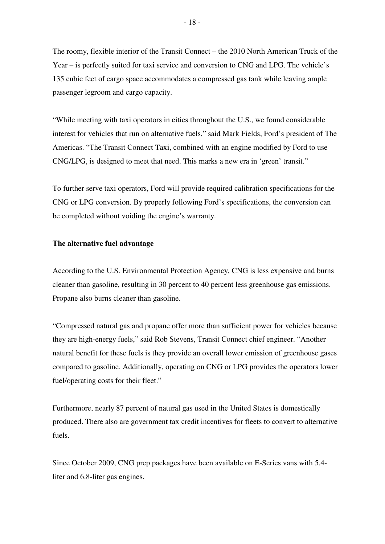The roomy, flexible interior of the Transit Connect – the 2010 North American Truck of the Year – is perfectly suited for taxi service and conversion to CNG and LPG. The vehicle's 135 cubic feet of cargo space accommodates a compressed gas tank while leaving ample passenger legroom and cargo capacity.

"While meeting with taxi operators in cities throughout the U.S., we found considerable interest for vehicles that run on alternative fuels," said Mark Fields, Ford's president of The Americas. "The Transit Connect Taxi, combined with an engine modified by Ford to use CNG/LPG, is designed to meet that need. This marks a new era in 'green' transit."

To further serve taxi operators, Ford will provide required calibration specifications for the CNG or LPG conversion. By properly following Ford's specifications, the conversion can be completed without voiding the engine's warranty.

## **The alternative fuel advantage**

According to the U.S. Environmental Protection Agency, CNG is less expensive and burns cleaner than gasoline, resulting in 30 percent to 40 percent less greenhouse gas emissions. Propane also burns cleaner than gasoline.

"Compressed natural gas and propane offer more than sufficient power for vehicles because they are high-energy fuels," said Rob Stevens, Transit Connect chief engineer. "Another natural benefit for these fuels is they provide an overall lower emission of greenhouse gases compared to gasoline. Additionally, operating on CNG or LPG provides the operators lower fuel/operating costs for their fleet."

Furthermore, nearly 87 percent of natural gas used in the United States is domestically produced. There also are government tax credit incentives for fleets to convert to alternative fuels.

Since October 2009, CNG prep packages have been available on E-Series vans with 5.4 liter and 6.8-liter gas engines.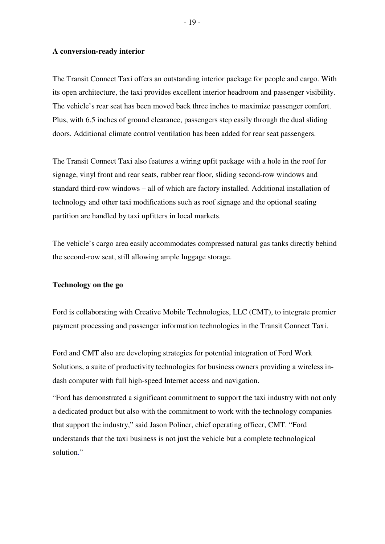#### **A conversion-ready interior**

The Transit Connect Taxi offers an outstanding interior package for people and cargo. With its open architecture, the taxi provides excellent interior headroom and passenger visibility. The vehicle's rear seat has been moved back three inches to maximize passenger comfort. Plus, with 6.5 inches of ground clearance, passengers step easily through the dual sliding doors. Additional climate control ventilation has been added for rear seat passengers.

The Transit Connect Taxi also features a wiring upfit package with a hole in the roof for signage, vinyl front and rear seats, rubber rear floor, sliding second-row windows and standard third-row windows – all of which are factory installed. Additional installation of technology and other taxi modifications such as roof signage and the optional seating partition are handled by taxi upfitters in local markets.

The vehicle's cargo area easily accommodates compressed natural gas tanks directly behind the second-row seat, still allowing ample luggage storage.

#### **Technology on the go**

Ford is collaborating with Creative Mobile Technologies, LLC (CMT), to integrate premier payment processing and passenger information technologies in the Transit Connect Taxi.

Ford and CMT also are developing strategies for potential integration of Ford Work Solutions, a suite of productivity technologies for business owners providing a wireless indash computer with full high-speed Internet access and navigation.

"Ford has demonstrated a significant commitment to support the taxi industry with not only a dedicated product but also with the commitment to work with the technology companies that support the industry," said Jason Poliner, chief operating officer, CMT. "Ford understands that the taxi business is not just the vehicle but a complete technological solution."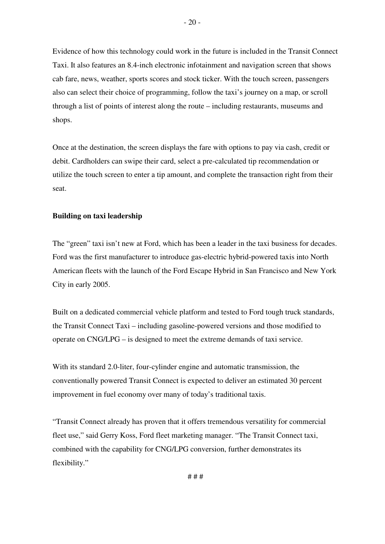Evidence of how this technology could work in the future is included in the Transit Connect Taxi. It also features an 8.4-inch electronic infotainment and navigation screen that shows cab fare, news, weather, sports scores and stock ticker. With the touch screen, passengers also can select their choice of programming, follow the taxi's journey on a map, or scroll through a list of points of interest along the route – including restaurants, museums and shops.

Once at the destination, the screen displays the fare with options to pay via cash, credit or debit. Cardholders can swipe their card, select a pre-calculated tip recommendation or utilize the touch screen to enter a tip amount, and complete the transaction right from their seat.

#### **Building on taxi leadership**

The "green" taxi isn't new at Ford, which has been a leader in the taxi business for decades. Ford was the first manufacturer to introduce gas-electric hybrid-powered taxis into North American fleets with the launch of the Ford Escape Hybrid in San Francisco and New York City in early 2005.

Built on a dedicated commercial vehicle platform and tested to Ford tough truck standards, the Transit Connect Taxi – including gasoline-powered versions and those modified to operate on CNG/LPG – is designed to meet the extreme demands of taxi service.

With its standard 2.0-liter, four-cylinder engine and automatic transmission, the conventionally powered Transit Connect is expected to deliver an estimated 30 percent improvement in fuel economy over many of today's traditional taxis.

"Transit Connect already has proven that it offers tremendous versatility for commercial fleet use," said Gerry Koss, Ford fleet marketing manager. "The Transit Connect taxi, combined with the capability for CNG/LPG conversion, further demonstrates its flexibility."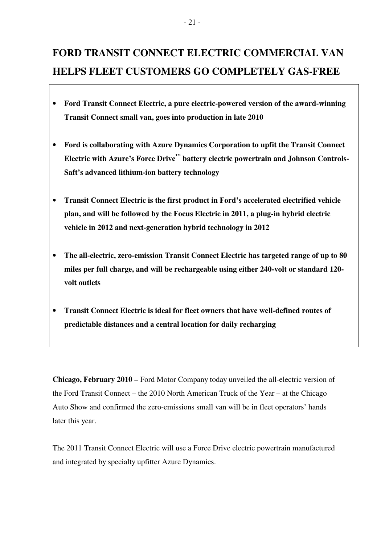# **FORD TRANSIT CONNECT ELECTRIC COMMERCIAL VAN HELPS FLEET CUSTOMERS GO COMPLETELY GAS-FREE**

- **Ford Transit Connect Electric, a pure electric-powered version of the award-winning Transit Connect small van, goes into production in late 2010**
- **Ford is collaborating with Azure Dynamics Corporation to upfit the Transit Connect Electric with Azure's Force Drive™ battery electric powertrain and Johnson Controls-Saft's advanced lithium-ion battery technology**
- **Transit Connect Electric is the first product in Ford's accelerated electrified vehicle plan, and will be followed by the Focus Electric in 2011, a plug-in hybrid electric vehicle in 2012 and next-generation hybrid technology in 2012**
- **The all-electric, zero-emission Transit Connect Electric has targeted range of up to 80 miles per full charge, and will be rechargeable using either 240-volt or standard 120 volt outlets**
- **Transit Connect Electric is ideal for fleet owners that have well-defined routes of predictable distances and a central location for daily recharging**

**Chicago, February 2010 –** Ford Motor Company today unveiled the all-electric version of the Ford Transit Connect – the 2010 North American Truck of the Year – at the Chicago Auto Show and confirmed the zero-emissions small van will be in fleet operators' hands later this year.

The 2011 Transit Connect Electric will use a Force Drive electric powertrain manufactured and integrated by specialty upfitter Azure Dynamics.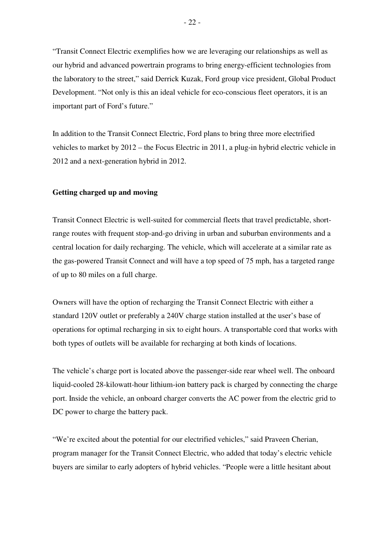"Transit Connect Electric exemplifies how we are leveraging our relationships as well as our hybrid and advanced powertrain programs to bring energy-efficient technologies from the laboratory to the street," said Derrick Kuzak, Ford group vice president, Global Product Development. "Not only is this an ideal vehicle for eco-conscious fleet operators, it is an important part of Ford's future."

In addition to the Transit Connect Electric, Ford plans to bring three more electrified vehicles to market by 2012 – the Focus Electric in 2011, a plug-in hybrid electric vehicle in 2012 and a next-generation hybrid in 2012.

#### **Getting charged up and moving**

Transit Connect Electric is well-suited for commercial fleets that travel predictable, shortrange routes with frequent stop-and-go driving in urban and suburban environments and a central location for daily recharging. The vehicle, which will accelerate at a similar rate as the gas-powered Transit Connect and will have a top speed of 75 mph, has a targeted range of up to 80 miles on a full charge.

Owners will have the option of recharging the Transit Connect Electric with either a standard 120V outlet or preferably a 240V charge station installed at the user's base of operations for optimal recharging in six to eight hours. A transportable cord that works with both types of outlets will be available for recharging at both kinds of locations.

The vehicle's charge port is located above the passenger-side rear wheel well. The onboard liquid-cooled 28-kilowatt-hour lithium-ion battery pack is charged by connecting the charge port. Inside the vehicle, an onboard charger converts the AC power from the electric grid to DC power to charge the battery pack.

"We're excited about the potential for our electrified vehicles," said Praveen Cherian, program manager for the Transit Connect Electric, who added that today's electric vehicle buyers are similar to early adopters of hybrid vehicles. "People were a little hesitant about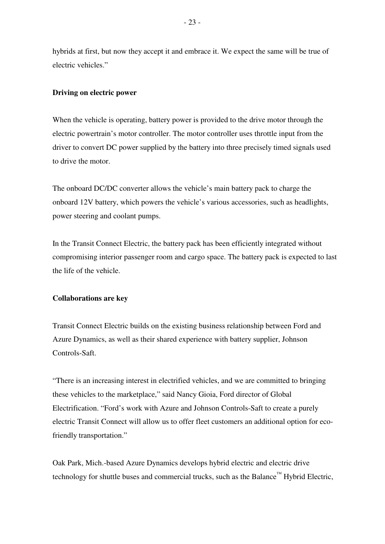hybrids at first, but now they accept it and embrace it. We expect the same will be true of electric vehicles."

#### **Driving on electric power**

When the vehicle is operating, battery power is provided to the drive motor through the electric powertrain's motor controller. The motor controller uses throttle input from the driver to convert DC power supplied by the battery into three precisely timed signals used to drive the motor.

The onboard DC/DC converter allows the vehicle's main battery pack to charge the onboard 12V battery, which powers the vehicle's various accessories, such as headlights, power steering and coolant pumps.

In the Transit Connect Electric, the battery pack has been efficiently integrated without compromising interior passenger room and cargo space. The battery pack is expected to last the life of the vehicle.

#### **Collaborations are key**

Transit Connect Electric builds on the existing business relationship between Ford and Azure Dynamics, as well as their shared experience with battery supplier, Johnson Controls-Saft.

"There is an increasing interest in electrified vehicles, and we are committed to bringing these vehicles to the marketplace," said Nancy Gioia, Ford director of Global Electrification. "Ford's work with Azure and Johnson Controls-Saft to create a purely electric Transit Connect will allow us to offer fleet customers an additional option for ecofriendly transportation."

Oak Park, Mich.-based Azure Dynamics develops hybrid electric and electric drive technology for shuttle buses and commercial trucks, such as the Balance<sup>™</sup> Hybrid Electric,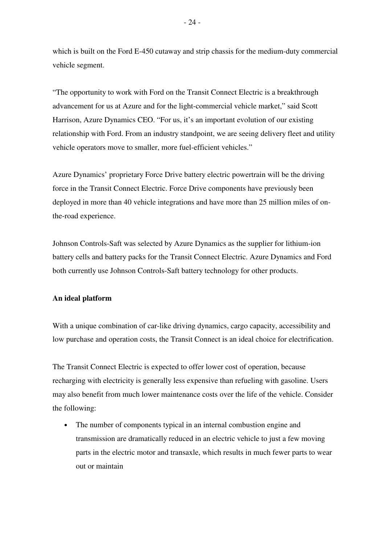which is built on the Ford E-450 cutaway and strip chassis for the medium-duty commercial vehicle segment.

"The opportunity to work with Ford on the Transit Connect Electric is a breakthrough advancement for us at Azure and for the light-commercial vehicle market," said Scott Harrison, Azure Dynamics CEO. "For us, it's an important evolution of our existing relationship with Ford. From an industry standpoint, we are seeing delivery fleet and utility vehicle operators move to smaller, more fuel-efficient vehicles."

Azure Dynamics' proprietary Force Drive battery electric powertrain will be the driving force in the Transit Connect Electric. Force Drive components have previously been deployed in more than 40 vehicle integrations and have more than 25 million miles of onthe-road experience.

Johnson Controls-Saft was selected by Azure Dynamics as the supplier for lithium-ion battery cells and battery packs for the Transit Connect Electric. Azure Dynamics and Ford both currently use Johnson Controls-Saft battery technology for other products.

#### **An ideal platform**

With a unique combination of car-like driving dynamics, cargo capacity, accessibility and low purchase and operation costs, the Transit Connect is an ideal choice for electrification.

The Transit Connect Electric is expected to offer lower cost of operation, because recharging with electricity is generally less expensive than refueling with gasoline. Users may also benefit from much lower maintenance costs over the life of the vehicle. Consider the following:

• The number of components typical in an internal combustion engine and transmission are dramatically reduced in an electric vehicle to just a few moving parts in the electric motor and transaxle, which results in much fewer parts to wear out or maintain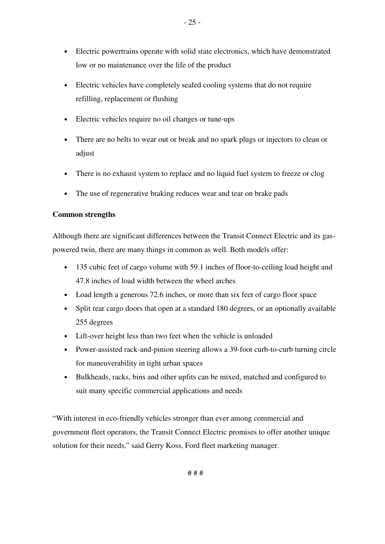- Electric powertrains operate with solid state electronics, which have demonstrated low or no maintenance over the life of the product
- Electric vehicles have completely sealed cooling systems that do not require refilling, replacement or flushing
- Electric vehicles require no oil changes or tune-ups
- There are no belts to wear out or break and no spark plugs or injectors to clean or adjust
- There is no exhaust system to replace and no liquid fuel system to freeze or clog
- The use of regenerative braking reduces wear and tear on brake pads

# **Common strengths**

Although there are significant differences between the Transit Connect Electric and its gaspowered twin, there are many things in common as well. Both models offer:

- 135 cubic feet of cargo volume with 59.1 inches of floor-to-ceiling load height and 47.8 inches of load width between the wheel arches
- Load length a generous 72.6 inches, or more than six feet of cargo floor space
- Split rear cargo doors that open at a standard 180 degrees, or an optionally available 255 degrees
- Lift-over height less than two feet when the vehicle is unloaded
- Power-assisted rack-and-pinion steering allows a 39-foot curb-to-curb turning circle for maneuverability in tight urban spaces
- Bulkheads, racks, bins and other upfits can be mixed, matched and configured to suit many specific commercial applications and needs

"With interest in eco-friendly vehicles stronger than ever among commercial and government fleet operators, the Transit Connect Electric promises to offer another unique solution for their needs," said Gerry Koss, Ford fleet marketing manager.